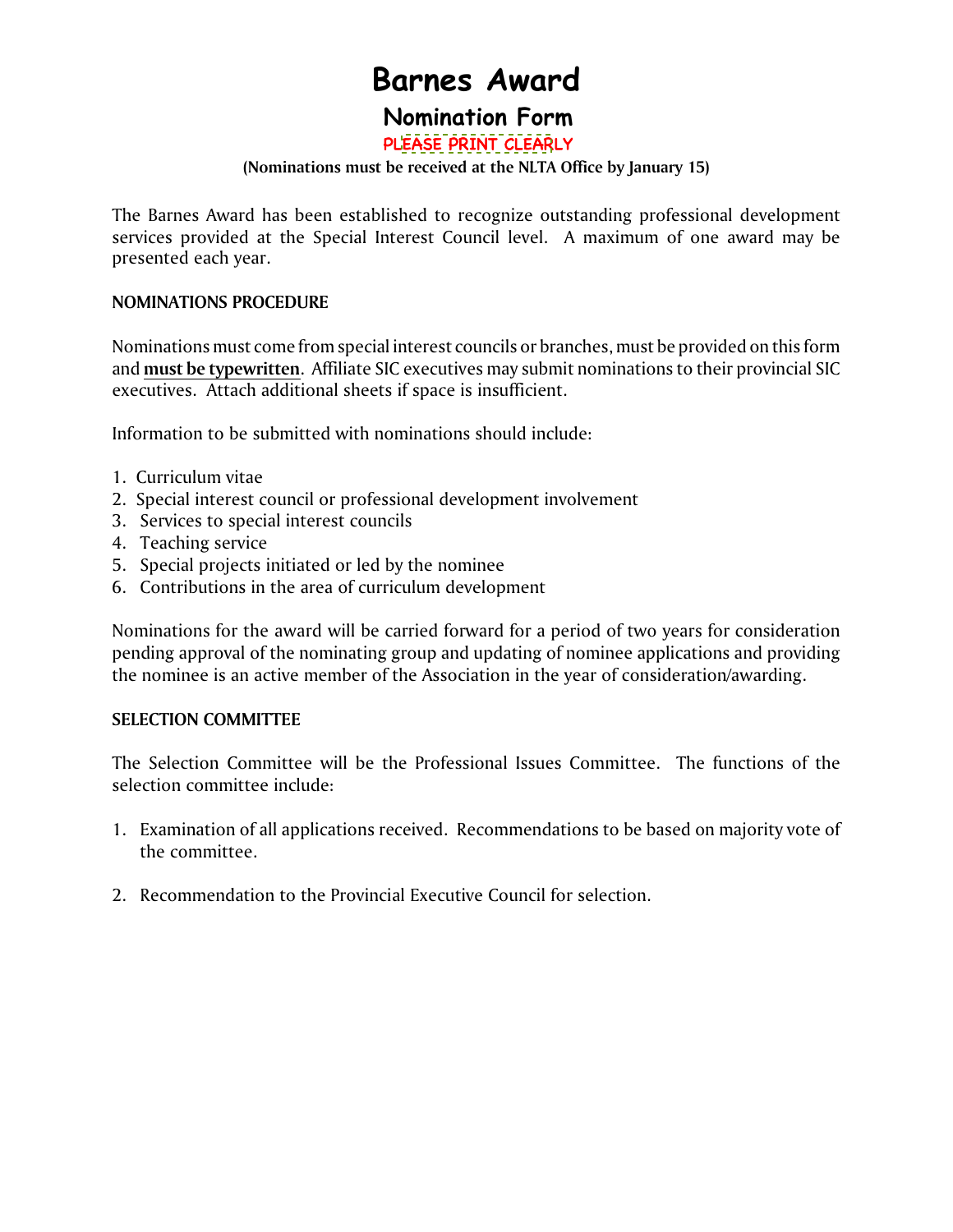# **Barnes Award**

# **Nomination Form**

P[LEASE PRINT CLEAR](http://www.nlta.nl.ca/barnes-award)LY

### **(Nominations must be received at the NLTA Office by January 15)**

The Barnes Award has been established to recognize outstanding professional development services provided at the Special Interest Council level. A maximum of one award may be presented each year.

### **NOMINATIONS PROCEDURE**

Nominations must come from special interest councils or branches, must be provided on this form and **must be typewritten**. Affiliate SIC executives may submit nominations to their provincial SIC executives. Attach additional sheets if space is insufficient.

Information to be submitted with nominations should include:

- 1. Curriculum vitae
- 2. Special interest council or professional development involvement
- 3. Services to special interest councils
- 4. Teaching service
- 5. Special projects initiated or led by the nominee
- 6. Contributions in the area of curriculum development

Nominations for the award will be carried forward for a period of two years for consideration pending approval of the nominating group and updating of nominee applications and providing the nominee is an active member of the Association in the year of consideration/awarding.

### **SELECTION COMMITTEE**

The Selection Committee will be the Professional Issues Committee. The functions of the selection committee include:

- 1. Examination of all applications received. Recommendations to be based on majority vote of the committee.
- 2. Recommendation to the Provincial Executive Council for selection.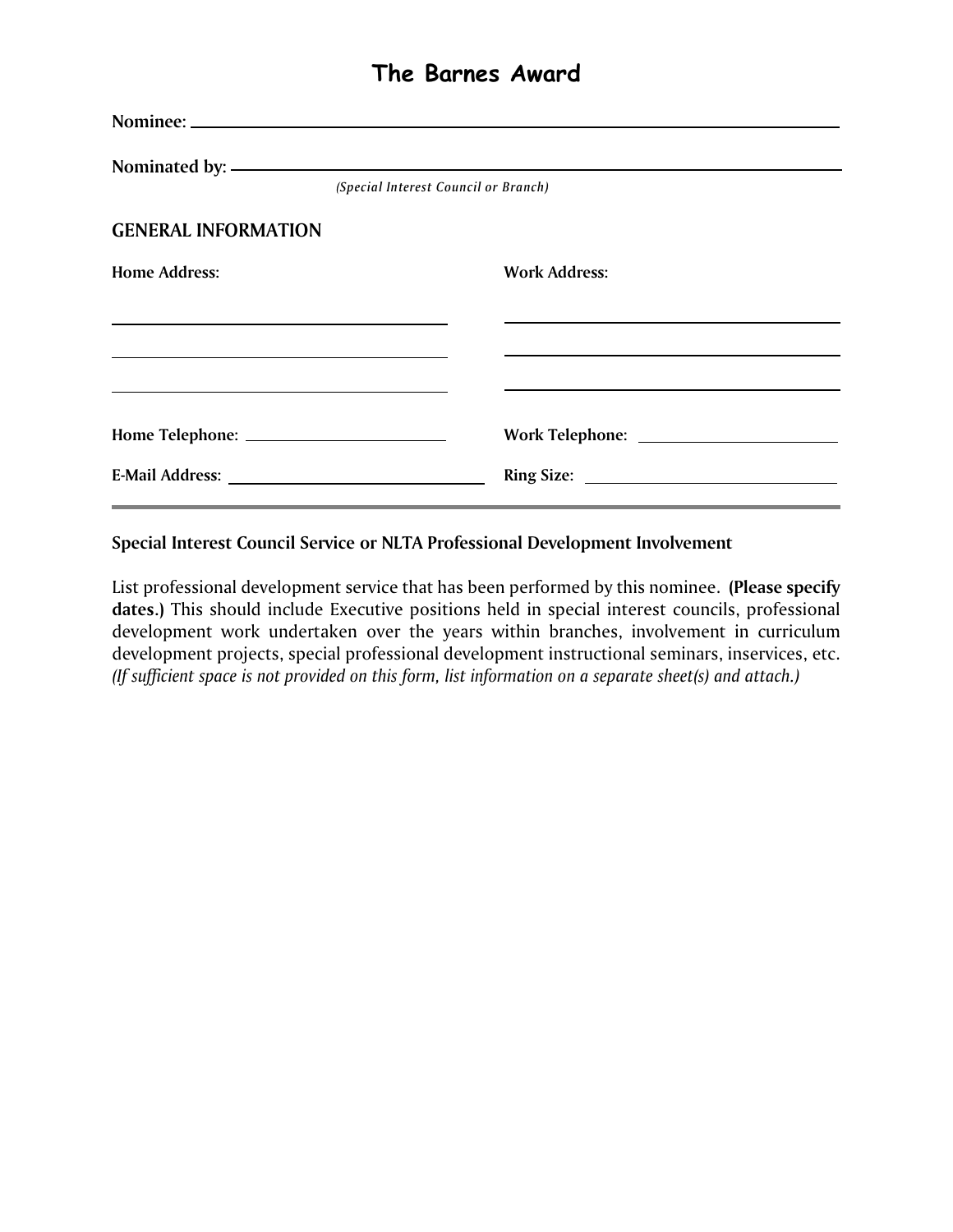# **The Barnes Award**

|                               | (Special Interest Council or Branch) |                      |
|-------------------------------|--------------------------------------|----------------------|
| <b>GENERAL INFORMATION</b>    |                                      |                      |
| <b>Home Address:</b>          |                                      | <b>Work Address:</b> |
|                               |                                      |                      |
|                               |                                      |                      |
|                               |                                      |                      |
| E-Mail Address: New York 1988 |                                      | Ring Size:           |

**Special Interest Council Service or NLTA Professional Development Involvement**

List professional development service that has been performed by this nominee. **(Please specify dates.)** This should include Executive positions held in special interest councils, professional development work undertaken over the years within branches, involvement in curriculum development projects, special professional development instructional seminars, inservices, etc. *(If sufficient space is not provided on this form, list information on a separate sheet(s) and attach.)*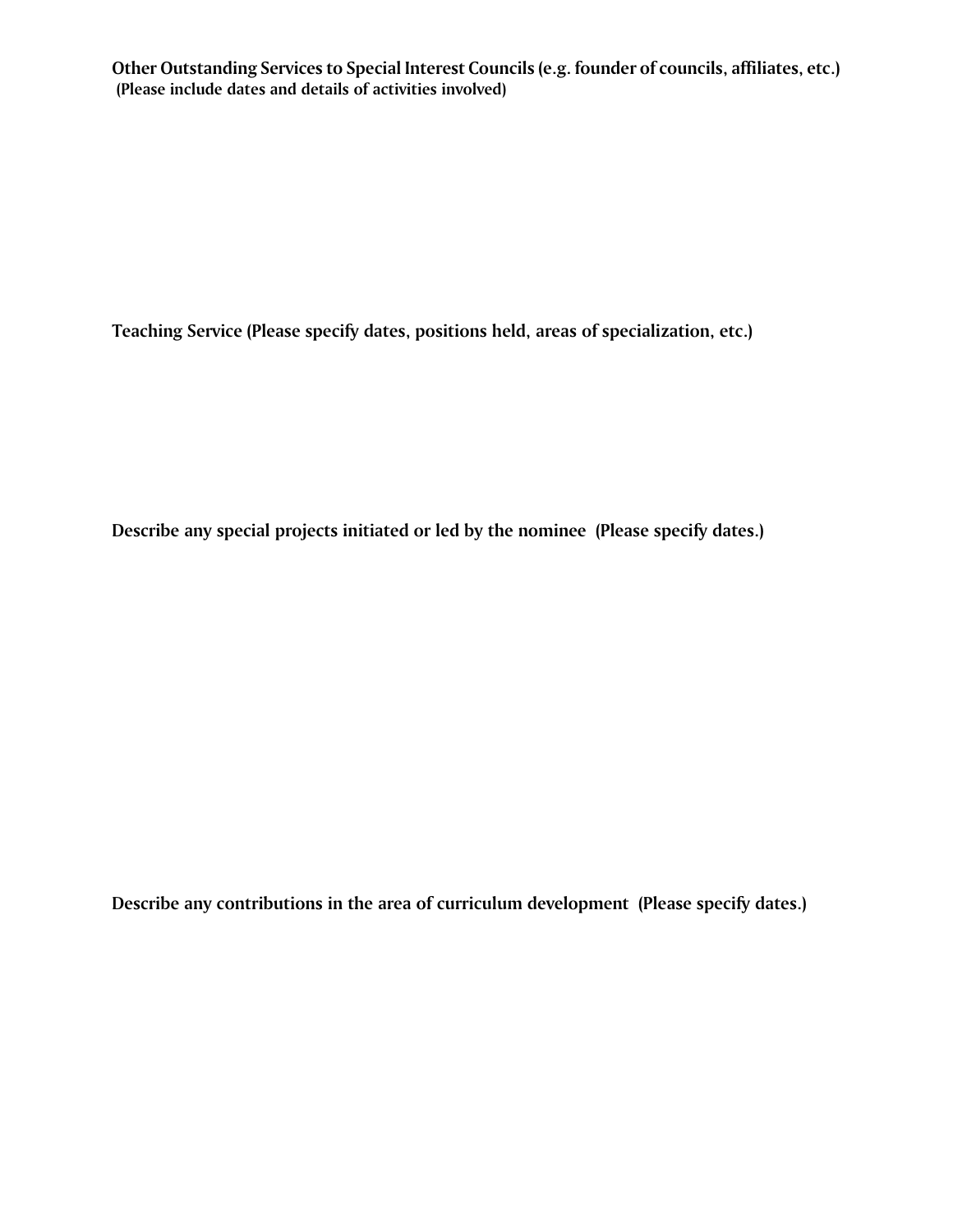**Other Outstanding Services to Special Interest Councils (e.g. founder of councils, affiliates, etc.) (Please include dates and details of activities involved)** 

**Teaching Service (Please specify dates, positions held, areas of specialization, etc.)**

**Describe any special projects initiated or led by the nominee (Please specify dates.)**

**Describe any contributions in the area of curriculum development (Please specify dates.)**